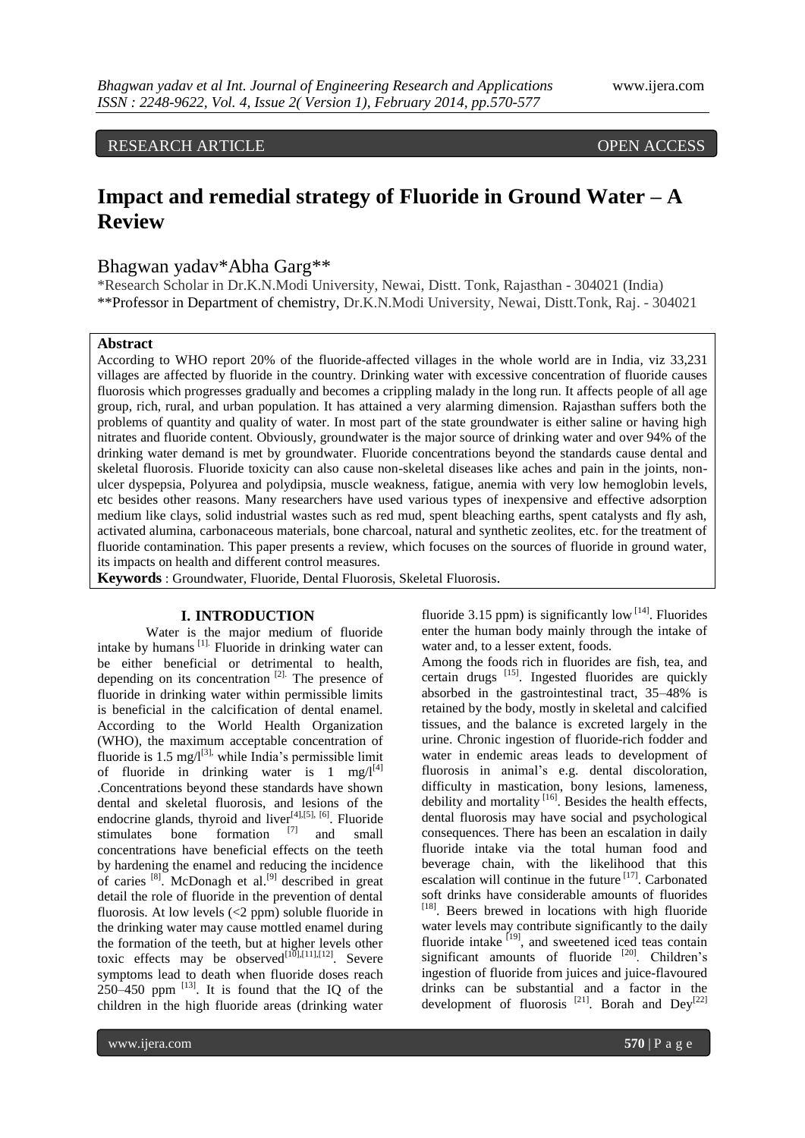RESEARCH ARTICLE OPEN ACCESS

# **Impact and remedial strategy of Fluoride in Ground Water – A Review**

# Bhagwan yadav\*Abha Garg\*\*

\*Research Scholar in Dr.K.N.Modi University, Newai, Distt. Tonk, Rajasthan - 304021 (India) \*\*Professor in Department of chemistry, Dr.K.N.Modi University, Newai, Distt.Tonk, Raj. - 304021

#### **Abstract**

According to WHO report 20% of the fluoride-affected villages in the whole world are in India, viz 33,231 villages are affected by fluoride in the country. Drinking water with excessive concentration of fluoride causes fluorosis which progresses gradually and becomes a crippling malady in the long run. It affects people of all age group, rich, rural, and urban population. It has attained a very alarming dimension. Rajasthan suffers both the problems of quantity and quality of water. In most part of the state groundwater is either saline or having high nitrates and fluoride content. Obviously, groundwater is the major source of drinking water and over 94% of the drinking water demand is met by groundwater. Fluoride concentrations beyond the standards cause dental and skeletal fluorosis. Fluoride toxicity can also cause non-skeletal diseases like aches and pain in the joints, nonulcer dyspepsia, Polyurea and polydipsia, muscle weakness, fatigue, anemia with very low hemoglobin levels, etc besides other reasons. Many researchers have used various types of inexpensive and effective adsorption medium like clays, solid industrial wastes such as red mud, spent bleaching earths, spent catalysts and fly ash, activated alumina, carbonaceous materials, bone charcoal, natural and synthetic zeolites, etc. for the treatment of fluoride contamination. This paper presents a review, which focuses on the sources of fluoride in ground water, its impacts on health and different control measures.

**Keywords** : Groundwater, Fluoride, Dental Fluorosis, Skeletal Fluorosis.

## **I. INTRODUCTION**

Water is the major medium of fluoride intake by humans [1]. Fluoride in drinking water can be either beneficial or detrimental to health, depending on its concentration  $[2]$ . The presence of fluoride in drinking water within permissible limits is beneficial in the calcification of dental enamel. According to the World Health Organization (WHO), the maximum acceptable concentration of fluoride is 1.5 mg/ $I^{[3]}$ , while India's permissible limit of fluoride in drinking water is 1 mg/ $I<sup>[4]</sup>$ .Concentrations beyond these standards have shown dental and skeletal fluorosis, and lesions of the endocrine glands, thyroid and liver<sup>[4],[5], [6]</sup>. Fluoride stimulates bone formation [7] and small concentrations have beneficial effects on the teeth by hardening the enamel and reducing the incidence of caries <sup>[8]</sup>. McDonagh et al.<sup>[9]</sup> described in great detail the role of fluoride in the prevention of dental fluorosis. At low levels  $\left(\langle 2 \rangle \text{ ppm}\right)$  soluble fluoride in the drinking water may cause mottled enamel during the formation of the teeth, but at higher levels other toxic effects may be observed $\begin{bmatrix} 110 \\ 101 \end{bmatrix}$ ,  $\begin{bmatrix} 111 \\ 121 \end{bmatrix}$ . Severe symptoms lead to death when fluoride doses reach  $250-450$  ppm  $^{[13]}$ . It is found that the IQ of the children in the high fluoride areas (drinking water

fluoride 3.15 ppm) is significantly low  $[14]$ . Fluorides enter the human body mainly through the intake of water and, to a lesser extent, foods.

Among the foods rich in fluorides are fish, tea, and certain drugs [15]. Ingested fluorides are quickly absorbed in the gastrointestinal tract, 35–48% is retained by the body, mostly in skeletal and calcified tissues, and the balance is excreted largely in the urine. Chronic ingestion of fluoride-rich fodder and water in endemic areas leads to development of fluorosis in animal's e.g. dental discoloration, difficulty in mastication, bony lesions, lameness, debility and mortality  $[16]$ . Besides the health effects, dental fluorosis may have social and psychological consequences. There has been an escalation in daily fluoride intake via the total human food and beverage chain, with the likelihood that this escalation will continue in the future  $[17]$ . Carbonated soft drinks have considerable amounts of fluorides [18]. Beers brewed in locations with high fluoride water levels may contribute significantly to the daily fluoride intake <sup>[19]</sup>, and sweetened iced teas contain significant amounts of fluoride <sup>[20]</sup>. Children's ingestion of fluoride from juices and juice-flavoured drinks can be substantial and a factor in the development of fluorosis  $^{[21]}$ . Borah and Dey<sup>[22]</sup>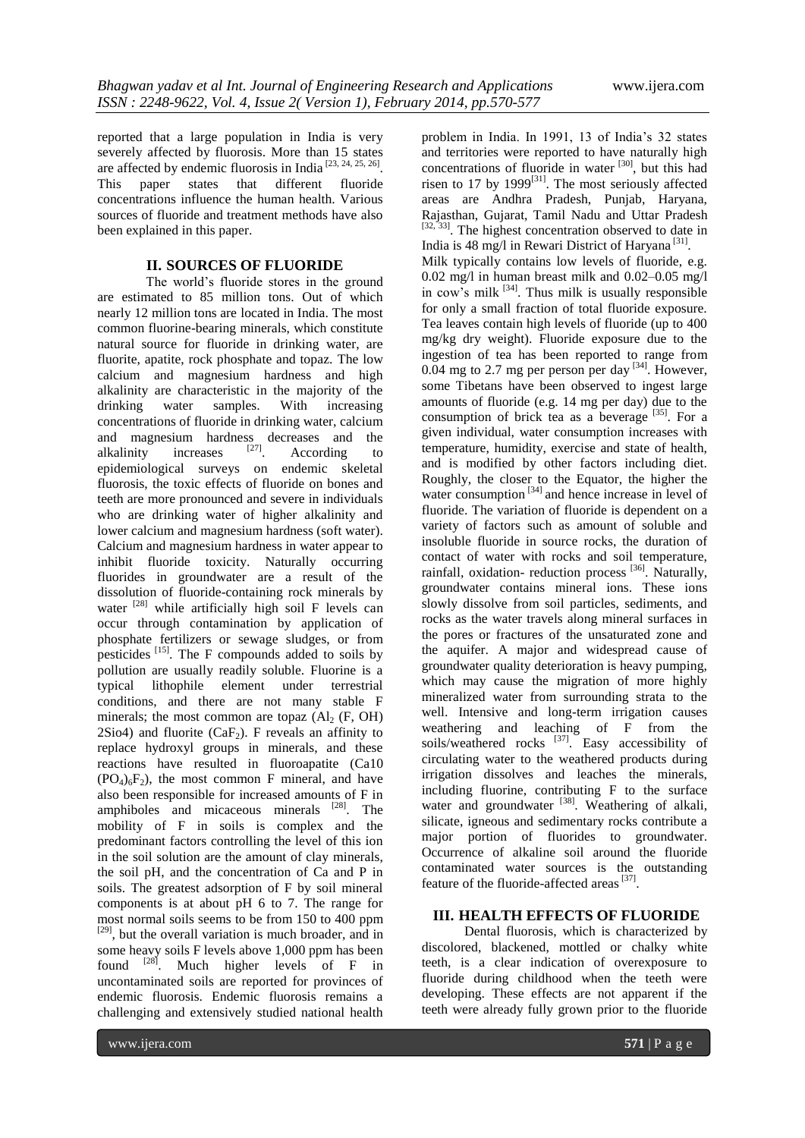reported that a large population in India is very severely affected by fluorosis. More than 15 states are affected by endemic fluorosis in India  $[23, 24, 25, 26]$ . This paper states that different fluoride concentrations influence the human health. Various sources of fluoride and treatment methods have also been explained in this paper.

## **II. SOURCES OF FLUORIDE**

The world's fluoride stores in the ground are estimated to 85 million tons. Out of which nearly 12 million tons are located in India. The most common fluorine-bearing minerals, which constitute natural source for fluoride in drinking water, are fluorite, apatite, rock phosphate and topaz. The low calcium and magnesium hardness and high alkalinity are characteristic in the majority of the drinking water samples. With increasing concentrations of fluoride in drinking water, calcium and magnesium hardness decreases and the alkalinity increases  $[27]$ . According to epidemiological surveys on endemic skeletal fluorosis, the toxic effects of fluoride on bones and teeth are more pronounced and severe in individuals who are drinking water of higher alkalinity and lower calcium and magnesium hardness (soft water). Calcium and magnesium hardness in water appear to inhibit fluoride toxicity. Naturally occurring fluorides in groundwater are a result of the dissolution of fluoride-containing rock minerals by water  $[28]$  while artificially high soil F levels can occur through contamination by application of phosphate fertilizers or sewage sludges, or from pesticides [15]. The F compounds added to soils by pollution are usually readily soluble. Fluorine is a typical lithophile element under terrestrial conditions, and there are not many stable F minerals; the most common are topaz  $(Al_2 (F, OH))$ 2Sio4) and fluorite  $(CaF_2)$ . F reveals an affinity to replace hydroxyl groups in minerals, and these reactions have resulted in fluoroapatite (Ca10  $(PO_4)_6F_2$ , the most common F mineral, and have also been responsible for increased amounts of F in amphiboles and micaceous minerals  $^{[28]}$ . The mobility of F in soils is complex and the predominant factors controlling the level of this ion in the soil solution are the amount of clay minerals, the soil pH, and the concentration of Ca and P in soils. The greatest adsorption of F by soil mineral components is at about pH 6 to 7. The range for most normal soils seems to be from 150 to 400 ppm<br><sup>[29]</sup>, but the overall variation is much broader, and in some heavy soils F levels above 1,000 ppm has been found  $^{[28]}$ . Much higher levels of F in uncontaminated soils are reported for provinces of endemic fluorosis. Endemic fluorosis remains a challenging and extensively studied national health

problem in India. In 1991, 13 of India's 32 states and territories were reported to have naturally high concentrations of fluoride in water<sup>[30]</sup>, but this had risen to 17 by 1999 $^{[31]}$ . The most seriously affected areas are Andhra Pradesh, Punjab, Haryana, Rajasthan, Gujarat, Tamil Nadu and Uttar Pradesh  $[32, 33]$ . The highest concentration observed to date in India is 48 mg/l in Rewari District of Haryana<sup>[31]</sup>. Milk typically contains low levels of fluoride, e.g. 0.02 mg/l in human breast milk and 0.02–0.05 mg/l in cow's milk <sup>[34]</sup>. Thus milk is usually responsible for only a small fraction of total fluoride exposure. Tea leaves contain high levels of fluoride (up to 400 mg/kg dry weight). Fluoride exposure due to the ingestion of tea has been reported to range from  $0.04$  mg to 2.7 mg per person per day  $^{[34]}$ . However, some Tibetans have been observed to ingest large amounts of fluoride (e.g. 14 mg per day) due to the consumption of brick tea as a beverage  $^{[35]}$ . For a given individual, water consumption increases with temperature, humidity, exercise and state of health, and is modified by other factors including diet. Roughly, the closer to the Equator, the higher the water consumption<sup>[34]</sup> and hence increase in level of fluoride. The variation of fluoride is dependent on a variety of factors such as amount of soluble and insoluble fluoride in source rocks, the duration of contact of water with rocks and soil temperature, rainfall, oxidation- reduction process  $^{[36]}$ . Naturally, groundwater contains mineral ions. These ions slowly dissolve from soil particles, sediments, and rocks as the water travels along mineral surfaces in the pores or fractures of the unsaturated zone and the aquifer. A major and widespread cause of groundwater quality deterioration is heavy pumping, which may cause the migration of more highly mineralized water from surrounding strata to the well. Intensive and long-term irrigation causes weathering and leaching of F from the soils/weathered rocks<sup>[37]</sup>. Easy accessibility of circulating water to the weathered products during irrigation dissolves and leaches the minerals, including fluorine, contributing F to the surface water and groundwater<sup>[38]</sup>. Weathering of alkali, silicate, igneous and sedimentary rocks contribute a major portion of fluorides to groundwater. Occurrence of alkaline soil around the fluoride contaminated water sources is the outstanding feature of the fluoride-affected areas<sup>[37]</sup>.

## **III. HEALTH EFFECTS OF FLUORIDE**

Dental fluorosis, which is characterized by discolored, blackened, mottled or chalky white teeth, is a clear indication of overexposure to fluoride during childhood when the teeth were developing. These effects are not apparent if the teeth were already fully grown prior to the fluoride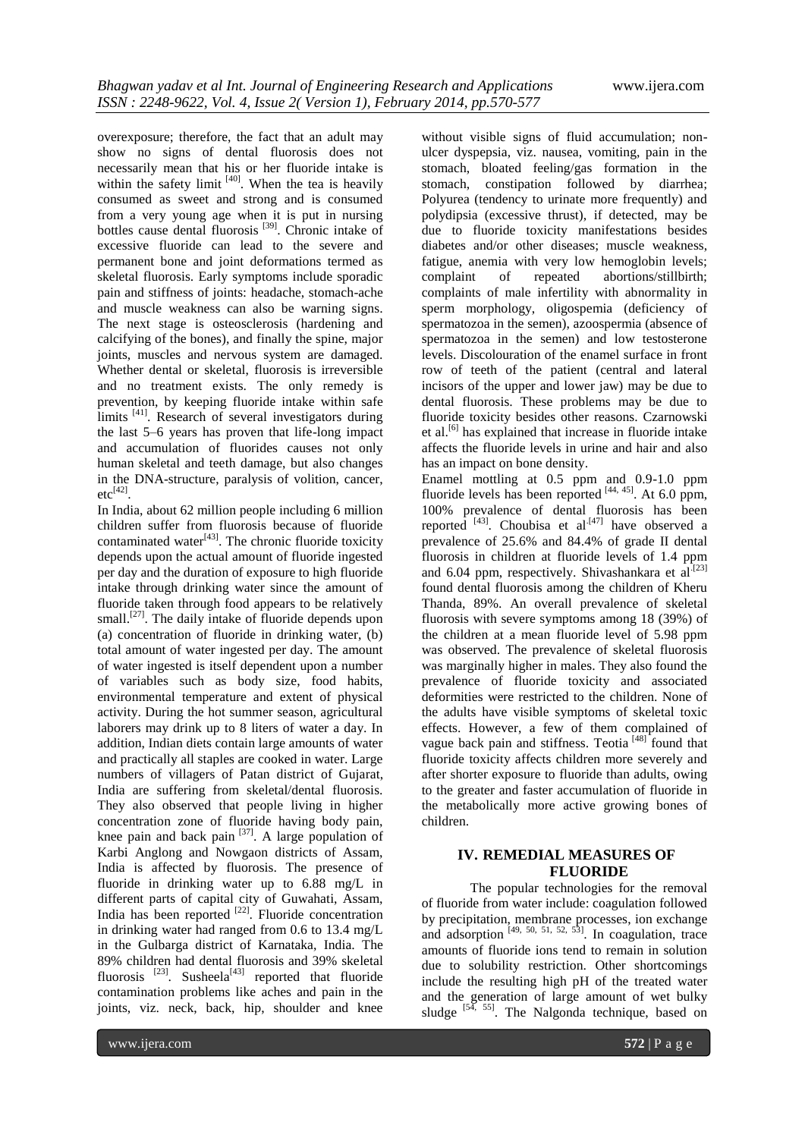overexposure; therefore, the fact that an adult may show no signs of dental fluorosis does not necessarily mean that his or her fluoride intake is within the safety limit  $[40]$ . When the tea is heavily consumed as sweet and strong and is consumed from a very young age when it is put in nursing bottles cause dental fluorosis<sup>[39]</sup>. Chronic intake of excessive fluoride can lead to the severe and permanent bone and joint deformations termed as skeletal fluorosis. Early symptoms include sporadic pain and stiffness of joints: headache, stomach-ache and muscle weakness can also be warning signs. The next stage is osteosclerosis (hardening and calcifying of the bones), and finally the spine, major joints, muscles and nervous system are damaged. Whether dental or skeletal, fluorosis is irreversible and no treatment exists. The only remedy is prevention, by keeping fluoride intake within safe limits <sup>[41]</sup>. Research of several investigators during the last 5–6 years has proven that life-long impact and accumulation of fluorides causes not only human skeletal and teeth damage, but also changes in the DNA-structure, paralysis of volition, cancer,  $etc^{[42]}$ .

In India, about 62 million people including 6 million children suffer from fluorosis because of fluoride contaminated water $[43]$ . The chronic fluoride toxicity depends upon the actual amount of fluoride ingested per day and the duration of exposure to high fluoride intake through drinking water since the amount of fluoride taken through food appears to be relatively small.<sup>[27]</sup>. The daily intake of fluoride depends upon (a) concentration of fluoride in drinking water, (b) total amount of water ingested per day. The amount of water ingested is itself dependent upon a number of variables such as body size, food habits, environmental temperature and extent of physical activity. During the hot summer season, agricultural laborers may drink up to 8 liters of water a day. In addition, Indian diets contain large amounts of water and practically all staples are cooked in water. Large numbers of villagers of Patan district of Gujarat, India are suffering from skeletal/dental fluorosis. They also observed that people living in higher concentration zone of fluoride having body pain, knee pain and back pain  $[37]$ . A large population of Karbi Anglong and Nowgaon districts of Assam, India is affected by fluorosis. The presence of fluoride in drinking water up to 6.88 mg/L in different parts of capital city of Guwahati, Assam, India has been reported  $[22]$ . Fluoride concentration in drinking water had ranged from 0.6 to 13.4 mg/L in the Gulbarga district of Karnataka, India. The 89% children had dental fluorosis and 39% skeletal fluorosis  $^{[23]}$ . Susheela<sup>[43]</sup> reported that fluoride contamination problems like aches and pain in the joints, viz. neck, back, hip, shoulder and knee

without visible signs of fluid accumulation; nonulcer dyspepsia, viz. nausea, vomiting, pain in the stomach, bloated feeling/gas formation in the stomach, constipation followed by diarrhea; Polyurea (tendency to urinate more frequently) and polydipsia (excessive thrust), if detected, may be due to fluoride toxicity manifestations besides diabetes and/or other diseases; muscle weakness, fatigue, anemia with very low hemoglobin levels; complaint of repeated abortions/stillbirth; complaints of male infertility with abnormality in sperm morphology, oligospemia (deficiency of spermatozoa in the semen), azoospermia (absence of spermatozoa in the semen) and low testosterone levels. Discolouration of the enamel surface in front row of teeth of the patient (central and lateral incisors of the upper and lower jaw) may be due to dental fluorosis. These problems may be due to fluoride toxicity besides other reasons. Czarnowski et al.<sup>[6]</sup> has explained that increase in fluoride intake affects the fluoride levels in urine and hair and also has an impact on bone density.

Enamel mottling at 0.5 ppm and 0.9-1.0 ppm fluoride levels has been reported  $[44, 45]$ . At 6.0 ppm, 100% prevalence of dental fluorosis has been reported  $^{[43]}$ . Choubisa et al<sup>[47]</sup> have observed a prevalence of 25.6% and 84.4% of grade II dental fluorosis in children at fluoride levels of 1.4 ppm and 6.04 ppm, respectively. Shivashankara et al. $[23]$ found dental fluorosis among the children of Kheru Thanda, 89%. An overall prevalence of skeletal fluorosis with severe symptoms among 18 (39%) of the children at a mean fluoride level of 5.98 ppm was observed. The prevalence of skeletal fluorosis was marginally higher in males. They also found the prevalence of fluoride toxicity and associated deformities were restricted to the children. None of the adults have visible symptoms of skeletal toxic effects. However, a few of them complained of vague back pain and stiffness. Teotia<sup>[48]</sup> found that fluoride toxicity affects children more severely and after shorter exposure to fluoride than adults, owing to the greater and faster accumulation of fluoride in the metabolically more active growing bones of children.

## **IV. REMEDIAL MEASURES OF FLUORIDE**

The popular technologies for the removal of fluoride from water include: coagulation followed by precipitation, membrane processes, ion exchange and adsorption  $[49, 50, 51, 52, 53]$ . In coagulation, trace amounts of fluoride ions tend to remain in solution due to solubility restriction. Other shortcomings include the resulting high pH of the treated water and the generation of large amount of wet bulky sludge  $[54, 55]$ . The Nalgonda technique, based on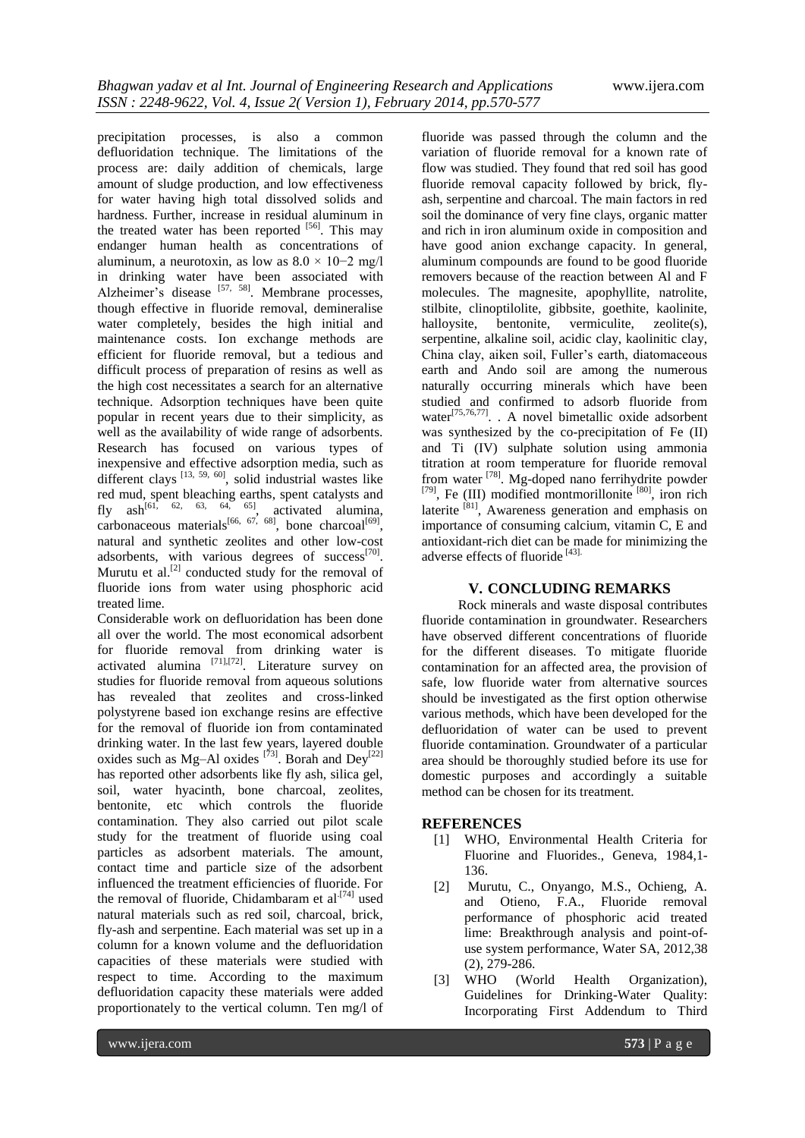precipitation processes, is also a common defluoridation technique. The limitations of the process are: daily addition of chemicals, large amount of sludge production, and low effectiveness for water having high total dissolved solids and hardness. Further, increase in residual aluminum in the treated water has been reported [56]. This may endanger human health as concentrations of aluminum, a neurotoxin, as low as  $8.0 \times 10^{-2}$  mg/l in drinking water have been associated with Alzheimer's disease [57, 58]. Membrane processes, though effective in fluoride removal, demineralise water completely, besides the high initial and maintenance costs. Ion exchange methods are efficient for fluoride removal, but a tedious and difficult process of preparation of resins as well as the high cost necessitates a search for an alternative technique. Adsorption techniques have been quite popular in recent years due to their simplicity, as well as the availability of wide range of adsorbents. Research has focused on various types of inexpensive and effective adsorption media, such as different clays  $^{[13, 59, 60]}$ , solid industrial wastes like red mud, spent bleaching earths, spent catalysts and fly ash<sup>[61, 62, 63, 64, 65]</sup>, activated alumina, carbonaceous materials<sup>[66, 67, 68]</sup>, bone charcoal<sup>[69]</sup>, natural and synthetic zeolites and other low-cost adsorbents, with various degrees of success<sup>[70]</sup>. Murutu et al. $^{[2]}$  conducted study for the removal of fluoride ions from water using phosphoric acid treated lime.

Considerable work on defluoridation has been done all over the world. The most economical adsorbent for fluoride removal from drinking water is activated alumina  $^{[71],[72]}$ . Literature survey on studies for fluoride removal from aqueous solutions has revealed that zeolites and cross-linked polystyrene based ion exchange resins are effective for the removal of fluoride ion from contaminated drinking water. In the last few years, layered double oxides such as Mg-Al oxides  $[73]$ . Borah and Dey<sup>[22]</sup> has reported other adsorbents like fly ash, silica gel, soil, water hyacinth, bone charcoal, zeolites, bentonite, etc which controls the fluoride contamination. They also carried out pilot scale study for the treatment of fluoride using coal particles as adsorbent materials. The amount, contact time and particle size of the adsorbent influenced the treatment efficiencies of fluoride. For the removal of fluoride, Chidambaram et al.<sup>[74]</sup> used natural materials such as red soil, charcoal, brick, fly-ash and serpentine. Each material was set up in a column for a known volume and the defluoridation capacities of these materials were studied with respect to time. According to the maximum defluoridation capacity these materials were added proportionately to the vertical column. Ten mg/l of

fluoride was passed through the column and the variation of fluoride removal for a known rate of flow was studied. They found that red soil has good fluoride removal capacity followed by brick, flyash, serpentine and charcoal. The main factors in red soil the dominance of very fine clays, organic matter and rich in iron aluminum oxide in composition and have good anion exchange capacity. In general, aluminum compounds are found to be good fluoride removers because of the reaction between Al and F molecules. The magnesite, apophyllite, natrolite, stilbite, clinoptilolite, gibbsite, goethite, kaolinite, halloysite, bentonite, vermiculite, zeolite(s), serpentine, alkaline soil, acidic clay, kaolinitic clay, China clay, aiken soil, Fuller's earth, diatomaceous earth and Ando soil are among the numerous naturally occurring minerals which have been studied and confirmed to adsorb fluoride from water<sup>[75,76,77]</sup>. . A novel bimetallic oxide adsorbent was synthesized by the co-precipitation of Fe (II) and Ti (IV) sulphate solution using ammonia titration at room temperature for fluoride removal from water <sup>[78]</sup>. Mg-doped nano ferrihydrite powder  $[79]$ , Fe (III) modified montmorillonite  $[80]$ , iron rich laterite  $^{[81]}$ , Awareness generation and emphasis on importance of consuming calcium, vitamin C, E and antioxidant-rich diet can be made for minimizing the adverse effects of fluoride [43].

## **V. CONCLUDING REMARKS**

Rock minerals and waste disposal contributes fluoride contamination in groundwater. Researchers have observed different concentrations of fluoride for the different diseases. To mitigate fluoride contamination for an affected area, the provision of safe, low fluoride water from alternative sources should be investigated as the first option otherwise various methods, which have been developed for the defluoridation of water can be used to prevent fluoride contamination. Groundwater of a particular area should be thoroughly studied before its use for domestic purposes and accordingly a suitable method can be chosen for its treatment.

#### **REFERENCES**

- [1] WHO, Environmental Health Criteria for Fluorine and Fluorides., Geneva, 1984,1- 136.
- [2] Murutu, C., Onyango, M.S., Ochieng, A. and Otieno, F.A., Fluoride removal performance of phosphoric acid treated lime: Breakthrough analysis and point-ofuse system performance, Water SA, 2012,38 (2), 279-286.
- [3] WHO (World Health Organization), Guidelines for Drinking-Water Quality: Incorporating First Addendum to Third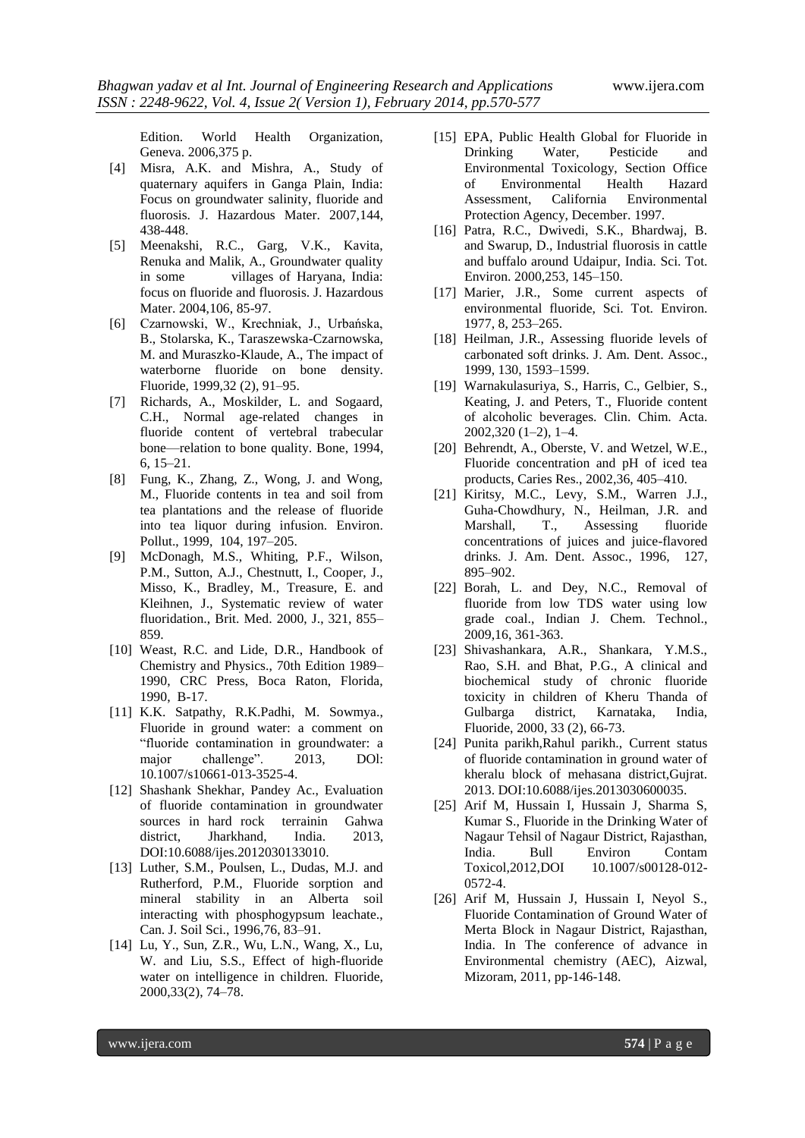Edition. World Health Organization, Geneva. 2006,375 p.

- [4] Misra, A.K. and Mishra, A., Study of quaternary aquifers in Ganga Plain, India: Focus on groundwater salinity, fluoride and fluorosis. J. Hazardous Mater. 2007,144, 438-448.
- [5] Meenakshi, R.C., Garg, V.K., Kavita, Renuka and Malik, A., Groundwater quality in some villages of Haryana, India: focus on fluoride and fluorosis. J. Hazardous Mater. 2004,106, 85-97.
- [6] Czarnowski, W., Krechniak, J., Urbańska, B., Stolarska, K., Taraszewska-Czarnowska, M. and Muraszko-Klaude, A., The impact of waterborne fluoride on bone density. Fluoride, 1999,32 (2), 91–95.
- [7] Richards, A., Moskilder, L. and Sogaard, C.H., Normal age-related changes in fluoride content of vertebral trabecular bone—relation to bone quality. Bone, 1994, 6, 15–21.
- [8] Fung, K., Zhang, Z., Wong, J. and Wong, M., Fluoride contents in tea and soil from tea plantations and the release of fluoride into tea liquor during infusion. Environ. Pollut., 1999, 104, 197–205.
- [9] McDonagh, M.S., Whiting, P.F., Wilson, P.M., Sutton, A.J., Chestnutt, I., Cooper, J., Misso, K., Bradley, M., Treasure, E. and Kleihnen, J., Systematic review of water fluoridation., Brit. Med. 2000, J., 321, 855– 859.
- [10] Weast, R.C. and Lide, D.R., Handbook of Chemistry and Physics., 70th Edition 1989– 1990, CRC Press, Boca Raton, Florida, 1990, B-17.
- [11] K.K. Satpathy, R.K.Padhi, M. Sowmya., Fluoride in ground water: a comment on ―fluoride contamination in groundwater: a major challenge". 2013, DOI: 10.1007/s10661-013-3525-4.
- [12] Shashank Shekhar, Pandey Ac., Evaluation of fluoride contamination in groundwater sources in hard rock terrainin Gahwa district, Jharkhand, India. 2013, DOI:10.6088/ijes.2012030133010.
- [13] Luther, S.M., Poulsen, L., Dudas, M.J. and Rutherford, P.M., Fluoride sorption and mineral stability in an Alberta soil interacting with phosphogypsum leachate., Can. J. Soil Sci., 1996,76, 83–91.
- [14] Lu, Y., Sun, Z.R., Wu, L.N., Wang, X., Lu, W. and Liu, S.S., Effect of high-fluoride water on intelligence in children. Fluoride, 2000,33(2), 74–78.
- [15] EPA, Public Health Global for Fluoride in Drinking Water, Pesticide and Environmental Toxicology, Section Office of Environmental Health Hazard Assessment, California Environmental Protection Agency, December. 1997.
- [16] Patra, R.C., Dwivedi, S.K., Bhardwaj, B. and Swarup, D., Industrial fluorosis in cattle and buffalo around Udaipur, India. Sci. Tot. Environ. 2000,253, 145–150.
- [17] Marier, J.R., Some current aspects of environmental fluoride, Sci. Tot. Environ. 1977, 8, 253–265.
- [18] Heilman, J.R., Assessing fluoride levels of carbonated soft drinks. J. Am. Dent. Assoc., 1999, 130, 1593–1599.
- [19] Warnakulasuriya, S., Harris, C., Gelbier, S., Keating, J. and Peters, T., Fluoride content of alcoholic beverages. Clin. Chim. Acta. 2002,320 (1–2), 1–4.
- [20] Behrendt, A., Oberste, V. and Wetzel, W.E., Fluoride concentration and pH of iced tea products, Caries Res., 2002,36, 405–410.
- [21] Kiritsy, M.C., Levy, S.M., Warren J.J., Guha-Chowdhury, N., Heilman, J.R. and Marshall, T., Assessing fluoride concentrations of juices and juice-flavored drinks. J. Am. Dent. Assoc., 1996, 127, 895–902.
- [22] Borah, L. and Dev, N.C., Removal of fluoride from low TDS water using low grade coal., Indian J. Chem. Technol., 2009,16, 361-363.
- [23] Shivashankara, A.R., Shankara, Y.M.S., Rao, S.H. and Bhat, P.G., A clinical and biochemical study of chronic fluoride toxicity in children of Kheru Thanda of Gulbarga district, Karnataka, India, Fluoride, 2000, 33 (2), 66-73.
- [24] Punita parikh,Rahul parikh., Current status of fluoride contamination in ground water of kheralu block of mehasana district,Gujrat. 2013. DOI:10.6088/ijes.2013030600035.
- [25] Arif M, Hussain I, Hussain J, Sharma S, Kumar S., Fluoride in the Drinking Water of Nagaur Tehsil of Nagaur District, Rajasthan, India. Bull Environ Contam Toxicol, 2012, DOI 10.1007/s00128-012-0572-4.
- [26] Arif M, Hussain J, Hussain I, Nevol S., Fluoride Contamination of Ground Water of Merta Block in Nagaur District, Rajasthan, India. In The conference of advance in Environmental chemistry (AEC), Aizwal, Mizoram, 2011, pp-146-148.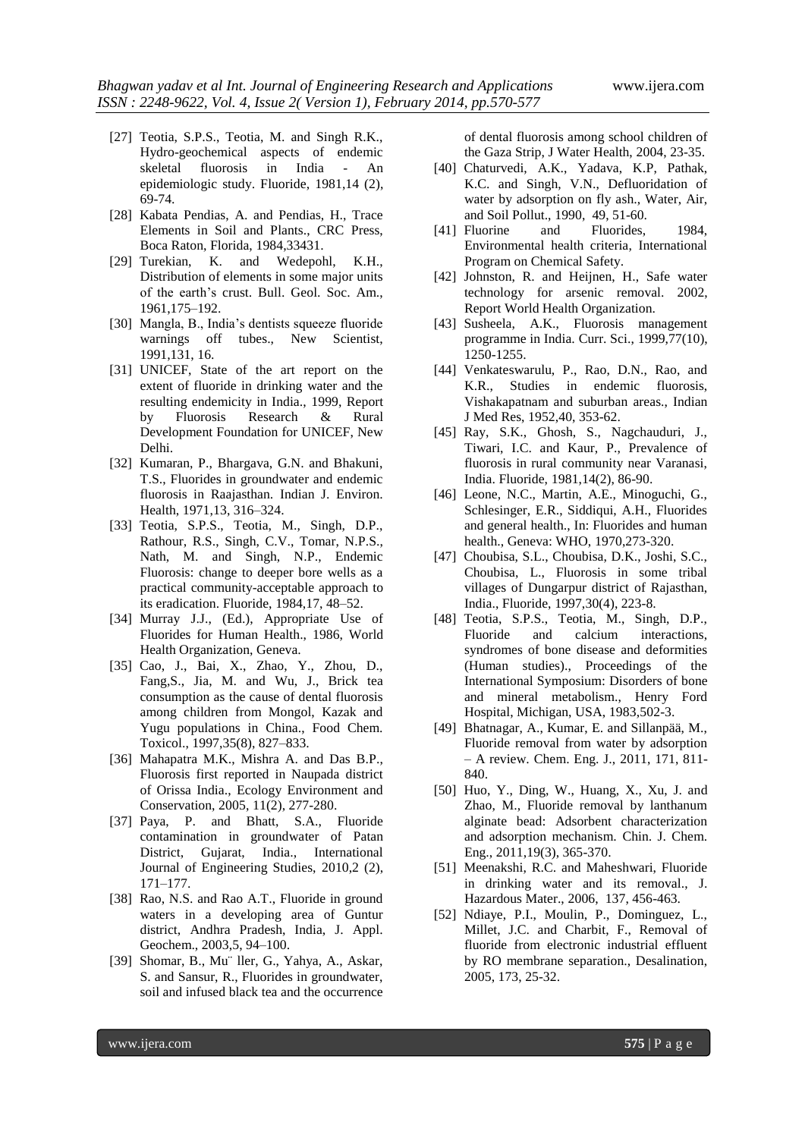- [27] Teotia, S.P.S., Teotia, M. and Singh R.K., Hydro-geochemical aspects of endemic skeletal fluorosis in India - An epidemiologic study. Fluoride, 1981,14 (2), 69-74.
- [28] Kabata Pendias, A. and Pendias, H., Trace Elements in Soil and Plants., CRC Press, Boca Raton, Florida, 1984,33431.
- [29] Turekian, K. and Wedepohl, K.H., Distribution of elements in some major units of the earth's crust. Bull. Geol. Soc. Am., 1961,175–192.
- [30] Mangla, B., India's dentists squeeze fluoride warnings off tubes., New Scientist, 1991,131, 16.
- [31] UNICEF, State of the art report on the extent of fluoride in drinking water and the resulting endemicity in India., 1999, Report by Fluorosis Research & Rural Development Foundation for UNICEF, New Delhi.
- [32] Kumaran, P., Bhargava, G.N. and Bhakuni, T.S., Fluorides in groundwater and endemic fluorosis in Raajasthan. Indian J. Environ. Health, 1971,13, 316–324.
- [33] Teotia, S.P.S., Teotia, M., Singh, D.P., Rathour, R.S., Singh, C.V., Tomar, N.P.S., Nath, M. and Singh, N.P., Endemic Fluorosis: change to deeper bore wells as a practical community-acceptable approach to its eradication. Fluoride, 1984,17, 48–52.
- [34] Murray J.J., (Ed.), Appropriate Use of Fluorides for Human Health., 1986, World Health Organization, Geneva.
- [35] Cao, J., Bai, X., Zhao, Y., Zhou, D., Fang,S., Jia, M. and Wu, J., Brick tea consumption as the cause of dental fluorosis among children from Mongol, Kazak and Yugu populations in China., Food Chem. Toxicol., 1997,35(8), 827–833.
- [36] Mahapatra M.K., Mishra A. and Das B.P., Fluorosis first reported in Naupada district of Orissa India., Ecology Environment and Conservation, 2005, 11(2), 277-280.
- [37] Paya, P. and Bhatt, S.A., Fluoride contamination in groundwater of Patan District, Gujarat, India., International Journal of Engineering Studies, 2010,2 (2), 171–177.
- [38] Rao, N.S. and Rao A.T., Fluoride in ground waters in a developing area of Guntur district, Andhra Pradesh, India, J. Appl. Geochem., 2003,5, 94–100.
- [39] Shomar, B., Mu¨ ller, G., Yahya, A., Askar, S. and Sansur, R., Fluorides in groundwater, soil and infused black tea and the occurrence

of dental fluorosis among school children of the Gaza Strip, J Water Health, 2004, 23-35.

- [40] Chaturvedi, A.K., Yadava, K.P, Pathak, K.C. and Singh, V.N., Defluoridation of water by adsorption on fly ash., Water, Air, and Soil Pollut., 1990, 49, 51-60.
- [41] Fluorine and Fluorides, 1984, Environmental health criteria, International Program on Chemical Safety.
- [42] Johnston, R. and Heijnen, H., Safe water technology for arsenic removal. 2002, Report World Health Organization.
- [43] Susheela, A.K., Fluorosis management programme in India. Curr. Sci., 1999,77(10), 1250-1255.
- [44] Venkateswarulu, P., Rao, D.N., Rao, and K.R., Studies in endemic fluorosis, Vishakapatnam and suburban areas., Indian J Med Res, 1952,40, 353-62.
- [45] Ray, S.K., Ghosh, S., Nagchauduri, J., Tiwari, I.C. and Kaur, P., Prevalence of fluorosis in rural community near Varanasi, India. Fluoride, 1981,14(2), 86-90.
- [46] Leone, N.C., Martin, A.E., Minoguchi, G., Schlesinger, E.R., Siddiqui, A.H., Fluorides and general health., In: Fluorides and human health., Geneva: WHO, 1970,273-320.
- [47] Choubisa, S.L., Choubisa, D.K., Joshi, S.C., Choubisa, L., Fluorosis in some tribal villages of Dungarpur district of Rajasthan, India., Fluoride, 1997,30(4), 223-8.
- [48] Teotia, S.P.S., Teotia, M., Singh, D.P., Fluoride and calcium interactions, syndromes of bone disease and deformities (Human studies)., Proceedings of the International Symposium: Disorders of bone and mineral metabolism., Henry Ford Hospital, Michigan, USA, 1983,502-3.
- [49] Bhatnagar, A., Kumar, E. and Sillanpää, M., Fluoride removal from water by adsorption – A review. Chem. Eng. J., 2011, 171, 811- 840.
- [50] Huo, Y., Ding, W., Huang, X., Xu, J. and Zhao, M., Fluoride removal by lanthanum alginate bead: Adsorbent characterization and adsorption mechanism. Chin. J. Chem. Eng., 2011,19(3), 365-370.
- [51] Meenakshi, R.C. and Maheshwari, Fluoride in drinking water and its removal., J. Hazardous Mater., 2006, 137, 456-463.
- [52] Ndiaye, P.I., Moulin, P., Dominguez, L., Millet, J.C. and Charbit, F., Removal of fluoride from electronic industrial effluent by RO membrane separation., Desalination, 2005, 173, 25-32.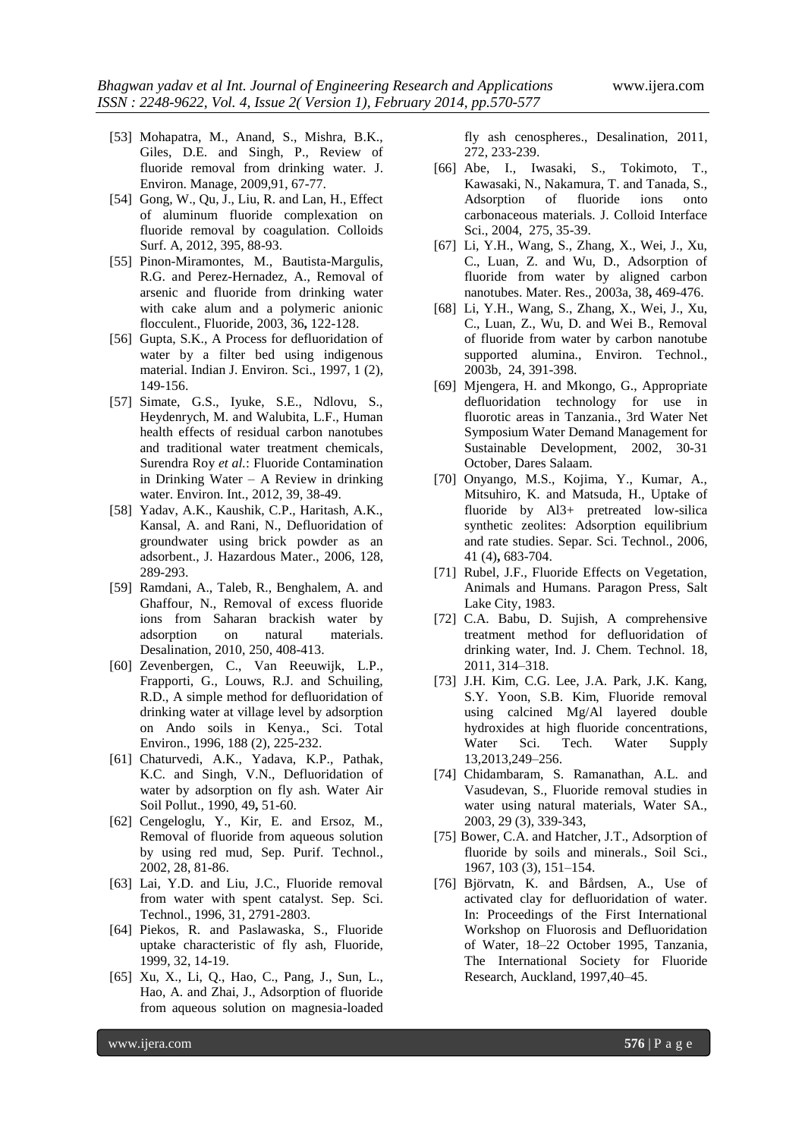- [53] Mohapatra, M., Anand, S., Mishra, B.K., Giles, D.E. and Singh, P., Review of fluoride removal from drinking water. J. Environ. Manage, 2009,91, 67-77.
- [54] Gong, W., Qu, J., Liu, R. and Lan, H., Effect of aluminum fluoride complexation on fluoride removal by coagulation. Colloids Surf. A, 2012, 395, 88-93.
- [55] Pinon-Miramontes, M., Bautista-Margulis, R.G. and Perez-Hernadez, A., Removal of arsenic and fluoride from drinking water with cake alum and a polymeric anionic flocculent., Fluoride, 2003, 36**,** 122-128.
- [56] Gupta, S.K., A Process for defluoridation of water by a filter bed using indigenous material. Indian J. Environ. Sci., 1997, 1 (2), 149-156.
- [57] Simate, G.S., Iyuke, S.E., Ndlovu, S., Heydenrych, M. and Walubita, L.F., Human health effects of residual carbon nanotubes and traditional water treatment chemicals, Surendra Roy *et al.*: Fluoride Contamination in Drinking Water – A Review in drinking water. Environ. Int., 2012, 39, 38-49.
- [58] Yadav, A.K., Kaushik, C.P., Haritash, A.K., Kansal, A. and Rani, N., Defluoridation of groundwater using brick powder as an adsorbent., J. Hazardous Mater., 2006, 128, 289-293.
- [59] Ramdani, A., Taleb, R., Benghalem, A. and Ghaffour, N., Removal of excess fluoride ions from Saharan brackish water by adsorption on natural materials. Desalination, 2010, 250, 408-413.
- [60] Zevenbergen, C., Van Reeuwijk, L.P., Frapporti, G., Louws, R.J. and Schuiling, R.D., A simple method for defluoridation of drinking water at village level by adsorption on Ando soils in Kenya., Sci. Total Environ., 1996, 188 (2), 225-232.
- [61] Chaturvedi, A.K., Yadava, K.P., Pathak, K.C. and Singh, V.N., Defluoridation of water by adsorption on fly ash. Water Air Soil Pollut., 1990, 49**,** 51-60.
- [62] Cengeloglu, Y., Kir, E. and Ersoz, M., Removal of fluoride from aqueous solution by using red mud, Sep. Purif. Technol., 2002, 28, 81-86.
- [63] Lai, Y.D. and Liu, J.C., Fluoride removal from water with spent catalyst. Sep. Sci. Technol., 1996, 31, 2791-2803.
- [64] Piekos, R. and Paslawaska, S., Fluoride uptake characteristic of fly ash, Fluoride, 1999, 32, 14-19.
- [65] Xu, X., Li, Q., Hao, C., Pang, J., Sun, L., Hao, A. and Zhai, J., Adsorption of fluoride from aqueous solution on magnesia-loaded

fly ash cenospheres., Desalination, 2011, 272, 233-239.

- [66] Abe, I., Iwasaki, S., Tokimoto, T., Kawasaki, N., Nakamura, T. and Tanada, S., Adsorption of fluoride ions onto carbonaceous materials. J. Colloid Interface Sci., 2004, 275, 35-39.
- [67] Li, Y.H., Wang, S., Zhang, X., Wei, J., Xu, C., Luan, Z. and Wu, D., Adsorption of fluoride from water by aligned carbon nanotubes. Mater. Res., 2003a, 38**,** 469-476.
- [68] Li, Y.H., Wang, S., Zhang, X., Wei, J., Xu, C., Luan, Z., Wu, D. and Wei B., Removal of fluoride from water by carbon nanotube supported alumina., Environ. Technol., 2003b, 24, 391-398.
- [69] Mjengera, H. and Mkongo, G., Appropriate defluoridation technology for use in fluorotic areas in Tanzania., 3rd Water Net Symposium Water Demand Management for Sustainable Development, 2002, 30-31 October, Dares Salaam.
- [70] Onyango, M.S., Kojima, Y., Kumar, A., Mitsuhiro, K. and Matsuda, H., Uptake of fluoride by Al3+ pretreated low-silica synthetic zeolites: Adsorption equilibrium and rate studies. Separ. Sci. Technol., 2006, 41 (4)**,** 683-704.
- [71] Rubel, J.F., Fluoride Effects on Vegetation, Animals and Humans. Paragon Press, Salt Lake City, 1983.
- [72] C.A. Babu, D. Sujish, A comprehensive treatment method for defluoridation of drinking water, Ind. J. Chem. Technol. 18, 2011, 314–318.
- [73] J.H. Kim, C.G. Lee, J.A. Park, J.K. Kang, S.Y. Yoon, S.B. Kim, Fluoride removal using calcined Mg/Al layered double hydroxides at high fluoride concentrations, Water Sci. Tech. Water Supply 13,2013,249–256.
- [74] Chidambaram, S. Ramanathan, A.L. and Vasudevan, S., Fluoride removal studies in water using natural materials, Water SA., 2003, 29 (3), 339-343,
- [75] Bower, C.A. and Hatcher, J.T., Adsorption of fluoride by soils and minerals., Soil Sci., 1967, 103 (3), 151–154.
- [76] Björvatn, K. and Bårdsen, A., Use of activated clay for defluoridation of water. In: Proceedings of the First International Workshop on Fluorosis and Defluoridation of Water, 18–22 October 1995, Tanzania, The International Society for Fluoride Research, Auckland, 1997,40–45.